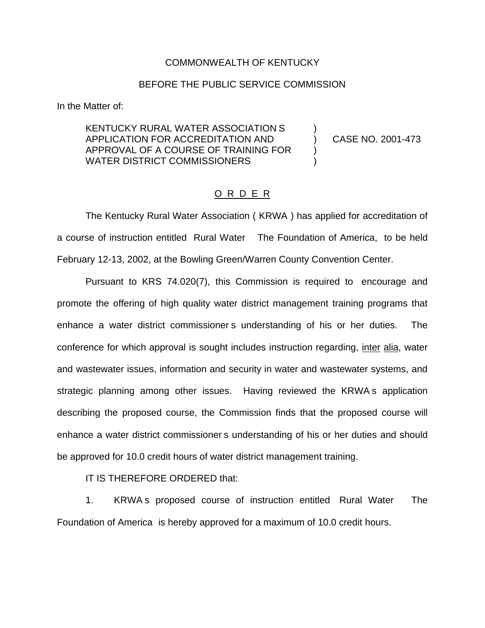## COMMONWEALTH OF KENTUCKY

## BEFORE THE PUBLIC SERVICE COMMISSION

In the Matter of:

KENTUCKY RURAL WATER ASSOCIATION S ) APPLICATION FOR ACCREDITATION AND ) CASE NO. 2001-473 APPROVAL OF A COURSE OF TRAINING FOR ) WATER DISTRICT COMMISSIONERS

## O R D E R

The Kentucky Rural Water Association ( KRWA ) has applied for accreditation of a course of instruction entitled Rural Water The Foundation of America, to be held February 12-13, 2002, at the Bowling Green/Warren County Convention Center.

Pursuant to KRS 74.020(7), this Commission is required to encourage and promote the offering of high quality water district management training programs that enhance a water district commissioner s understanding of his or her duties. The conference for which approval is sought includes instruction regarding, inter alia, water and wastewater issues, information and security in water and wastewater systems, and strategic planning among other issues. Having reviewed the KRWA s application describing the proposed course, the Commission finds that the proposed course will enhance a water district commissioner s understanding of his or her duties and should be approved for 10.0 credit hours of water district management training.

IT IS THEREFORE ORDERED that:

1. KRWA s proposed course of instruction entitled Rural Water The Foundation of America is hereby approved for a maximum of 10.0 credit hours.